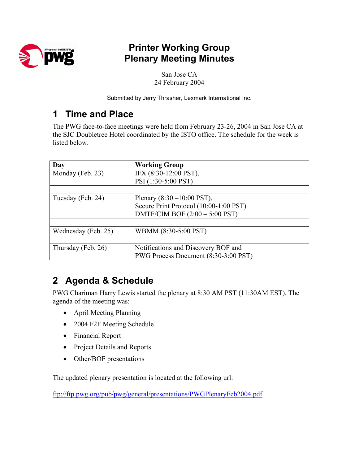

## **Printer Working Group Plenary Meeting Minutes**

San Jose CA 24 February 2004

Submitted by Jerry Thrasher, Lexmark International Inc.

## **1 Time and Place**

The PWG face-to-face meetings were held from February 23-26, 2004 in San Jose CA at the SJC Doubletree Hotel coordinated by the ISTO office. The schedule for the week is listed below.

| Day                 | <b>Working Group</b>                   |  |
|---------------------|----------------------------------------|--|
| Monday (Feb. 23)    | IFX (8:30-12:00 PST),                  |  |
|                     | PSI (1:30-5:00 PST)                    |  |
|                     |                                        |  |
| Tuesday (Feb. 24)   | Plenary $(8:30 - 10:00 \text{ PST})$ , |  |
|                     | Secure Print Protocol (10:00-1:00 PST) |  |
|                     | DMTF/CIM BOF $(2:00 - 5:00$ PST)       |  |
|                     |                                        |  |
| Wednesday (Feb. 25) | WBMM (8:30-5:00 PST)                   |  |
|                     |                                        |  |
| Thursday (Feb. 26)  | Notifications and Discovery BOF and    |  |
|                     | PWG Process Document (8:30-3:00 PST)   |  |

# **2 Agenda & Schedule**

PWG Chariman Harry Lewis started the plenary at 8:30 AM PST (11:30AM EST). The agenda of the meeting was:

- April Meeting Planning
- 2004 F2F Meeting Schedule
- Financial Report
- Project Details and Reports
- Other/BOF presentations

The updated plenary presentation is located at the following url:

<ftp://ftp.pwg.org/pub/pwg/general/presentations/PWGPlenaryFeb2004.pdf>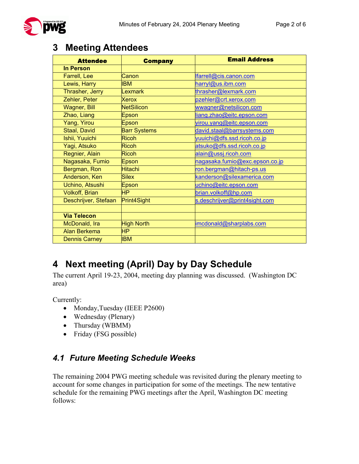

## **3 Meeting Attendees**

| <b>Attendee</b>       | <b>Company</b>      | <b>Email Address</b>           |
|-----------------------|---------------------|--------------------------------|
| <b>In Person</b>      |                     |                                |
| Farrell, Lee          | Canon               | farrell@cis.canon.com          |
| Lewis, Harry          | <b>IBM</b>          | harryl@us.ibm.com              |
| Thrasher, Jerry       | Lexmark             | thrasher@lexmark.com           |
| Zehler, Peter         | Xerox               | pzehler@crt.xerox.com          |
| <b>Wagner, Bill</b>   | <b>NetSilicon</b>   | wwagner@netsilicon.com         |
| Zhao, Liang           | Epson               | liang.zhao@eitc.epson.com      |
| Yang, Yirou           | Epson               | virou.yang@eitc.epson.com      |
| Staal, David          | <b>Barr Systems</b> | david.staal@barrsystems.com    |
| Ishii, Yuuichi        | <b>Ricoh</b>        | yuuichi@dfs.ssd.ricoh.co.jp    |
| Yagi, Atsuko          | <b>Ricoh</b>        | atsuko@dfs.ssd.ricoh.co.jp     |
| Regnier, Alain        | <b>Ricoh</b>        | alain@ussj.ricoh.com           |
| Nagasaka, Fumio       | Epson               | nagasaka.fumio@exc.epson.co.jp |
| Bergman, Ron          | <b>Hitachi</b>      | ron.bergman@hitach-ps.us       |
| Anderson, Ken         | <b>Silex</b>        | kanderson@silexamerica.com     |
| Uchino, Atsushi       | Epson               | uchino@eitc.epson.com          |
| <b>Volkoff, Brian</b> | <b>HP</b>           | brian.volkoff@hp.com           |
| Deschrijver, Stefaan  | Print4Sight         | s.deschrijver@print4sight.com  |
|                       |                     |                                |
| <b>Via Telecon</b>    |                     |                                |
| McDonald, Ira         | <b>High North</b>   | imcdonald@sharplabs.com        |
| <b>Alan Berkema</b>   | <b>HP</b>           |                                |
| <b>Dennis Carney</b>  | <b>IBM</b>          |                                |

# **4 Next meeting (April) Day by Day Schedule**

The current April 19-23, 2004, meeting day planning was discussed. (Washington DC area)

Currently:

- Monday, Tuesday (IEEE P2600)
- Wednesday (Plenary)
- Thursday (WBMM)
- Friday (FSG possible)

### *4.1 Future Meeting Schedule Weeks*

The remaining 2004 PWG meeting schedule was revisited during the plenary meeting to account for some changes in participation for some of the meetings. The new tentative schedule for the remaining PWG meetings after the April, Washington DC meeting follows: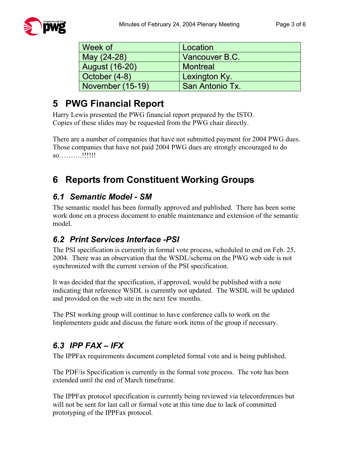| Week of               | Location               |  |
|-----------------------|------------------------|--|
| May (24-28)           | Vancouver B.C.         |  |
| <b>August (16-20)</b> | <b>Montreal</b>        |  |
| October (4-8)         | Lexington Ky.          |  |
| November (15-19)      | <b>San Antonio Tx.</b> |  |

# **5 PWG Financial Report**

Harry Lewis presented the PWG financial report prepared by the ISTO. Copies of these slides may be requested from the PWG chair directly.

There are a number of companies that have not submitted payment for 2004 PWG dues. Those companies that have not paid 2004 PWG dues are strongly encouraged to do so……….!!!!!!

# **6 Reports from Constituent Working Groups**

#### *6.1 Semantic Model - SM*

The semantic model has been formally approved and published. There has been some work done on a process document to enable maintenance and extension of the semantic model.

### *6.2 Print Services Interface -PSI*

The PSI specification is currently in formal vote process, scheduled to end on Feb. 25, 2004. There was an observation that the WSDL/schema on the PWG web side is not synchronized with the current version of the PSI specification.

It was decided that the specification, if approved, would be published with a note indicating that reference WSDL is currently not updated. The WSDL will be updated and provided on the web site in the next few months.

The PSI working group will continue to have conference calls to work on the Implementers guide and discuss the future work items of the group if necessary.

## *6.3 IPP FAX – IFX*

The IPPFax requirements document completed formal vote and is being published.

The PDF/is Specification is currently in the formal vote process. The vote has been extended until the end of March timeframe.

The IPPFax protocol specification is currently being reviewed via teleconferences but will not be sent for last call or formal vote at this time due to lack of committed prototyping of the IPPFax protocol.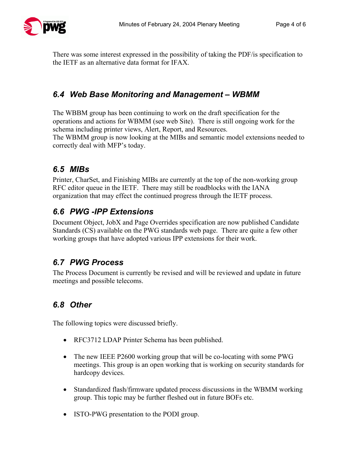

There was some interest expressed in the possibility of taking the PDF/is specification to the IETF as an alternative data format for IFAX.

### *6.4 Web Base Monitoring and Management – WBMM*

The WBBM group has been continuing to work on the draft specification for the operations and actions for WBMM (see web Site). There is still ongoing work for the schema including printer views, Alert, Report, and Resources.

The WBMM group is now looking at the MIBs and semantic model extensions needed to correctly deal with MFP's today.

## *6.5 MIBs*

Printer, CharSet, and Finishing MIBs are currently at the top of the non-working group RFC editor queue in the IETF. There may still be roadblocks with the IANA organization that may effect the continued progress through the IETF process.

### *6.6 PWG -IPP Extensions*

Document Object, JobX and Page Overrides specification are now published Candidate Standards (CS) available on the PWG standards web page. There are quite a few other working groups that have adopted various IPP extensions for their work.

### *6.7 PWG Process*

The Process Document is currently be revised and will be reviewed and update in future meetings and possible telecoms.

## *6.8 Other*

The following topics were discussed briefly.

- RFC3712 LDAP Printer Schema has been published.
- The new IEEE P2600 working group that will be co-locating with some PWG meetings. This group is an open working that is working on security standards for hardcopy devices.
- Standardized flash/firmware updated process discussions in the WBMM working group. This topic may be further fleshed out in future BOFs etc.
- ISTO-PWG presentation to the PODI group.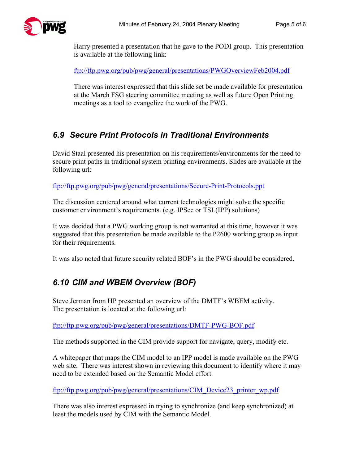

Harry presented a presentation that he gave to the PODI group. This presentation is available at the following link:

<ftp://ftp.pwg.org/pub/pwg/general/presentations/PWGOverviewFeb2004.pdf>

There was interest expressed that this slide set be made available for presentation at the March FSG steering committee meeting as well as future Open Printing meetings as a tool to evangelize the work of the PWG.

#### *6.9 Secure Print Protocols in Traditional Environments*

David Staal presented his presentation on his requirements/environments for the need to secure print paths in traditional system printing environments. Slides are available at the following url:

<ftp://ftp.pwg.org/pub/pwg/general/presentations/Secure-Print-Protocols.ppt>

The discussion centered around what current technologies might solve the specific customer environment's requirements. (e.g. IPSec or TSL(IPP) solutions)

It was decided that a PWG working group is not warranted at this time, however it was suggested that this presentation be made available to the P2600 working group as input for their requirements.

It was also noted that future security related BOF's in the PWG should be considered.

#### *6.10 CIM and WBEM Overview (BOF)*

Steve Jerman from HP presented an overview of the DMTF's WBEM activity. The presentation is located at the following url:

<ftp://ftp.pwg.org/pub/pwg/general/presentations/DMTF-PWG-BOF.pdf>

The methods supported in the CIM provide support for navigate, query, modify etc.

A whitepaper that maps the CIM model to an IPP model is made available on the PWG web site. There was interest shown in reviewing this document to identify where it may need to be extended based on the Semantic Model effort.

[ftp://ftp.pwg.org/pub/pwg/general/presentations/CIM\\_Device23\\_printer\\_wp.pdf](ftp://ftp.pwg.org/pub/pwg/general/presentations/CIM_Device23_printer_wp.pdf)

There was also interest expressed in trying to synchronize (and keep synchronized) at least the models used by CIM with the Semantic Model.